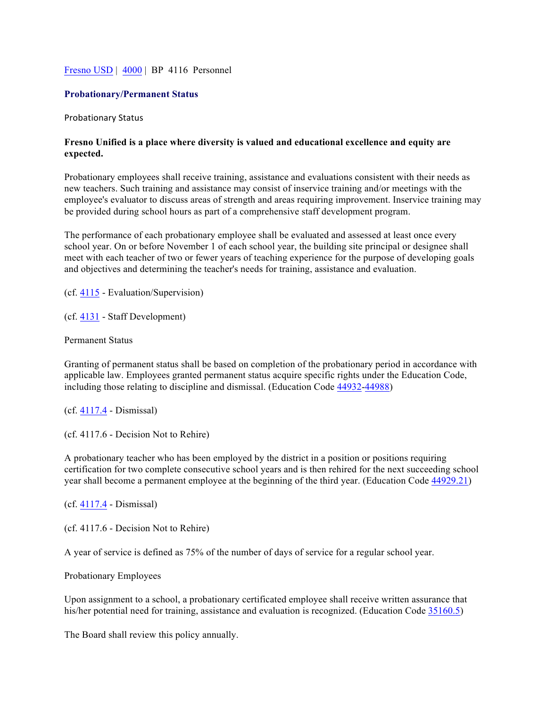## Fresno USD | 4000 | BP 4116 Personnel

## **Probationary/Permanent Status**

Probationary Status

## **Fresno Unified is a place where diversity is valued and educational excellence and equity are expected.**

Probationary employees shall receive training, assistance and evaluations consistent with their needs as new teachers. Such training and assistance may consist of inservice training and/or meetings with the employee's evaluator to discuss areas of strength and areas requiring improvement. Inservice training may be provided during school hours as part of a comprehensive staff development program.

The performance of each probationary employee shall be evaluated and assessed at least once every school year. On or before November 1 of each school year, the building site principal or designee shall meet with each teacher of two or fewer years of teaching experience for the purpose of developing goals and objectives and determining the teacher's needs for training, assistance and evaluation.

(cf. 4115 - Evaluation/Supervision)

(cf. 4131 - Staff Development)

Permanent Status

Granting of permanent status shall be based on completion of the probationary period in accordance with applicable law. Employees granted permanent status acquire specific rights under the Education Code, including those relating to discipline and dismissal. (Education Code 44932-44988)

(cf. 4117.4 - Dismissal)

(cf. 4117.6 - Decision Not to Rehire)

A probationary teacher who has been employed by the district in a position or positions requiring certification for two complete consecutive school years and is then rehired for the next succeeding school year shall become a permanent employee at the beginning of the third year. (Education Code 44929.21)

(cf. 4117.4 - Dismissal)

(cf. 4117.6 - Decision Not to Rehire)

A year of service is defined as 75% of the number of days of service for a regular school year.

Probationary Employees

Upon assignment to a school, a probationary certificated employee shall receive written assurance that his/her potential need for training, assistance and evaluation is recognized. (Education Code 35160.5)

The Board shall review this policy annually.